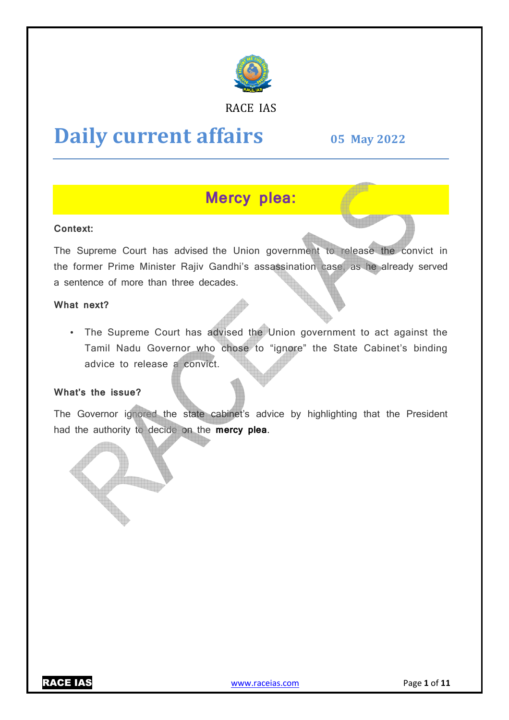

# RACE IAS

# **Daily current affairs**

**05 May May 2022**

# **Mercy plea:**

## **Context:**

The Supreme Court has advised the Union government to release the convict in the former Prime Minister Rajiv Gandhi's assassination case, as he already served a sentence of more than three decades.

#### **What next?**

• The Supreme Court has advised the Union government to act against the Tamil Nadu Governor who chose to "ignore" the State Cabinet's binding advice to release a convict.

#### **What's the issue?**

The Governor ignored the state cabinet's advice by highlighting that the President had the authority to decide on the **mercy plea**.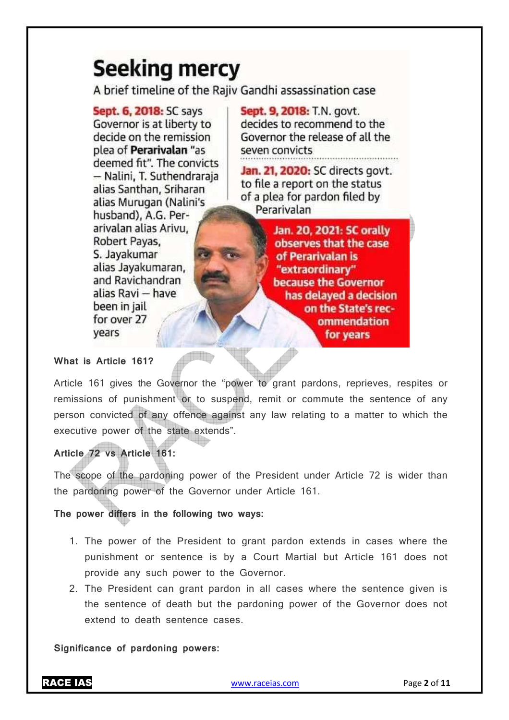# **Seeking mercy**

A brief timeline of the Raiiv Gandhi assassination case

**Sept. 6, 2018: SC says** Governor is at liberty to decide on the remission plea of **Perarivalan** "as deemed fit". The convicts - Nalini, T. Suthendraraja alias Santhan, Sriharan alias Murugan (Nalini's husband), A.G. Perarivalan alias Arivu, Robert Payas. S. Jayakumar alias Jayakumaran, and Ravichandran alias Ravi - have been in jail for over 27 vears

Sept. 9, 2018: T.N. govt. decides to recommend to the Governor the release of all the seven convicts

Jan. 21, 2020: SC directs govt. to file a report on the status of a plea for pardon filed by Perarivalan

> Jan. 20, 2021: SC orally observes that the case of Perarivalan is "extraordinary" because the Governor has delayed a decision on the State's recommendation for years

# **What is Article 161?**

Article 161 gives the Governor the "power to grant pardons, reprieves, respites or remissions of punishment or to suspend, remit or commute the sentence of any person convicted of any offence against any law relating to a matter to which the executive power of the state extends".

# **Article 72 vs Article 161:**

The scope of the pardoning power of the President under Article 72 is wider than the pardoning power of the Governor under Article 161.

**The power differs in the following two ways:** 

- 1. The power of the President to grant pardon extends in cases where the punishment or sentence is by a Court Martial but Article 161 does not provide any such power to the Governor.
- 2. The President can grant pardon in all cases where the sentence given is the sentence of death but the pardoning power of the Governor does not extend to death sentence cases.

**Significance of pardoning powers:**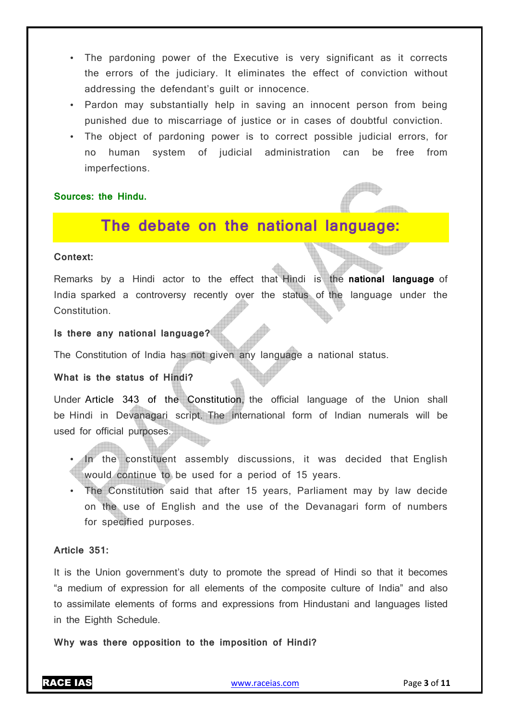- The pardoning power of the Executive is very significant as it corrects the errors of the judiciary. It eliminates the effect of conviction without addressing the defendant's guilt or innocence.
- Pardon may substantially help in saving an innocent person from being punished due to miscarriage of justice or in cases of doubtful conviction.
- The object of pardoning power is to correct possible judicial errors, for no human system of judicial administration can be free from imperfections.

## **Sources: the Hindu.**

# **The debate on the national language:**

#### **Context:**

Remarks by a Hindi actor to the effect that Hindi is the **national language** of India sparked a controversy recently over the status of the language under the Constitution.

# **Is there any national language?**

The Constitution of India has not given any language a national status.

#### **What is the status of Hindi?**

Under Article 343 of the Constitution, the official language of the Union shall be Hindi in Devanagari script. The international form of Indian numerals will be used for official purposes.

- In the constituent assembly discussions, it was decided that English would continue to be used for a period of 15 years.
- The Constitution said that after 15 years, Parliament may by law decide on the use of English and the use of the Devanagari form of numbers for specified purposes.

## **Article 351:**

It is the Union government's duty to promote the spread of Hindi so that it becomes "a medium of expression for all elements of the composite culture of India" and also to assimilate elements of forms and expressions from Hindustani and languages listed in the Eighth Schedule.

**Why was there opposition to the imposition of Hindi?**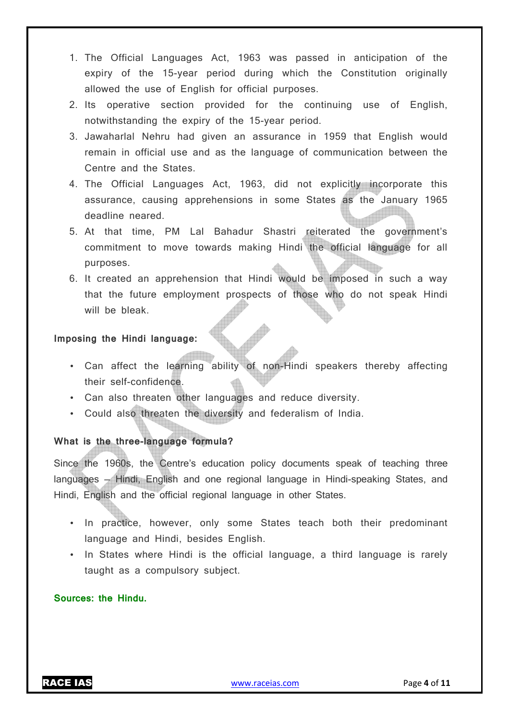- 1. The Official Languages Act, 1963 was passed in anticipation of the expiry of the 15-year period during which the Constitution originally allowed the use of English for official purposes.
- 2. Its operative section provided for the continuing use of English, notwithstanding the expiry of the 15-year period.
- 3. Jawaharlal Nehru had given an assurance in 1959 that English would remain in official use and as the language of communication between the Centre and the States.
- 4. The Official Languages Act, 1963, did not explicitly incorporate this assurance, causing apprehensions in some States as the January 1965 deadline neared.
- 5. At that time, PM Lal Bahadur Shastri reiterated the government's commitment to move towards making Hindi the official language for all purposes.
- 6. It created an apprehension that Hindi would be imposed in such a way that the future employment prospects of those who do not speak Hindi will be bleak.

# **Imposing the Hindi language:**

- Can affect the learning ability of non-Hindi speakers thereby affecting their self-confidence.
- Can also threaten other languages and reduce diversity.
- Could also threaten the diversity and federalism of India.

# **What is the three-language formula?**

Since the 1960s, the Centre's education policy documents speak of teaching three languages — Hindi, English and one regional language in Hindi-speaking States, and Hindi, English and the official regional language in other States.

- In practice, however, only some States teach both their predominant language and Hindi, besides English.
- In States where Hindi is the official language, a third language is rarely taught as a compulsory subject.

## **Sources: the Hindu.**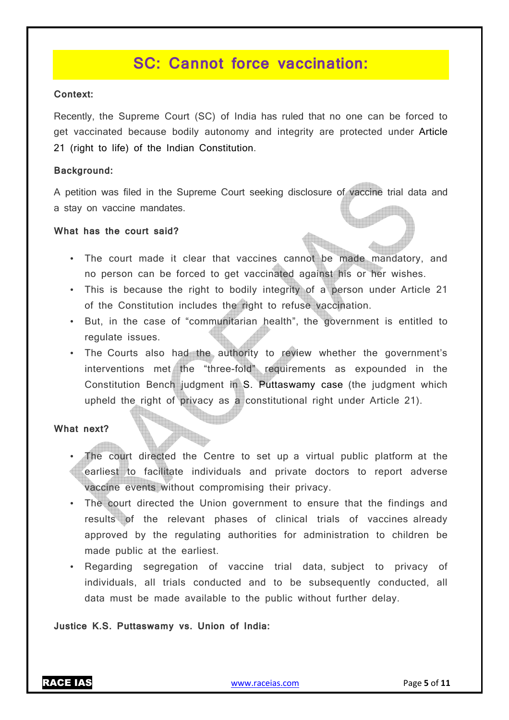# **SC: Cannot force vaccination:**

#### **Context:**

Recently, the Supreme Court (SC) of India has ruled that no one can be forced to get vaccinated because bodily autonomy and integrity are protected under Article 21 (right to life) of the Indian Constitution.

#### **Background:**

A petition was filed in the Supreme Court seeking disclosure of vaccine trial data and a stay on vaccine mandates.

#### **What has the court said?**

- The court made it clear that vaccines cannot be made mandatory, and no person can be forced to get vaccinated against his or her wishes.
- This is because the right to bodily integrity of a person under Article 21 of the Constitution includes the right to refuse vaccination.
- But, in the case of "communitarian health", the government is entitled to regulate issues.
- The Courts also had the authority to review whether the government's interventions met the "three-fold" requirements as expounded in the Constitution Bench judgment in S. Puttaswamy case (the judgment which upheld the right of privacy as a constitutional right under Article 21).

#### **What next?**

- The court directed the Centre to set up a virtual public platform at the earliest to facilitate individuals and private doctors to report adverse vaccine events without compromising their privacy.
- The court directed the Union government to ensure that the findings and results of the relevant phases of clinical trials of vaccines already approved by the regulating authorities for administration to children be made public at the earliest.
- Regarding segregation of vaccine trial data, subject to privacy of individuals, all trials conducted and to be subsequently conducted, all data must be made available to the public without further delay.

#### **Justice K.S. Puttaswamy vs. Union of India:**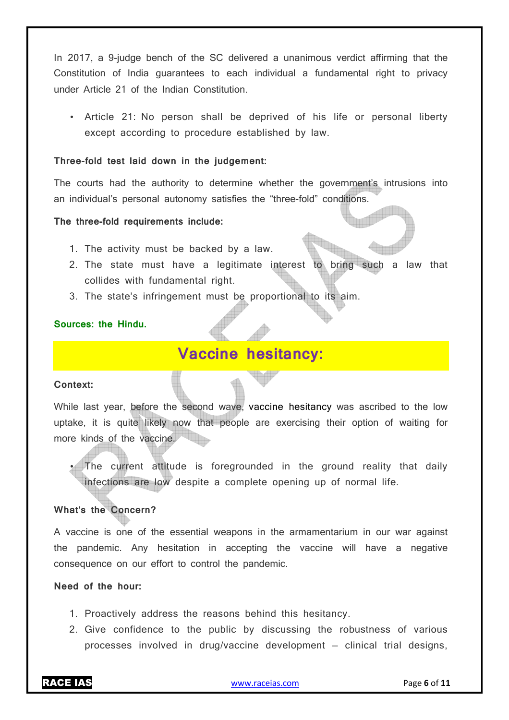In 2017, a 9-judge bench of the SC delivered a unanimous verdict affirming that the Constitution of India guarantees to each individual a fundamental right to privacy under Article 21 of the Indian Constitution.

• Article 21: No person shall be deprived of his life or personal liberty except according to procedure established by law.

#### **Three-fold test laid down in the judgement:**

The courts had the authority to determine whether the government's intrusions into an individual's personal autonomy satisfies the "three-fold" conditions.

#### **The three-fold requirements include:**

- 1. The activity must be backed by a law.
- 2. The state must have a legitimate interest to bring such a law that collides with fundamental right.
- 3. The state's infringement must be proportional to its aim.

#### **Sources: the Hindu.**

# **Vaccine hesitancy:**

#### **Context:**

While last year, before the second wave, vaccine hesitancy was ascribed to the low uptake, it is quite likely now that people are exercising their option of waiting for more kinds of the vaccine.

The current attitude is foregrounded in the ground reality that daily infections are low despite a complete opening up of normal life.

# **What's the Concern?**

A vaccine is one of the essential weapons in the armamentarium in our war against the pandemic. Any hesitation in accepting the vaccine will have a negative consequence on our effort to control the pandemic.

# **Need of the hour:**

- 1. Proactively address the reasons behind this hesitancy.
- 2. Give confidence to the public by discussing the robustness of various processes involved in drug/vaccine development — clinical trial designs,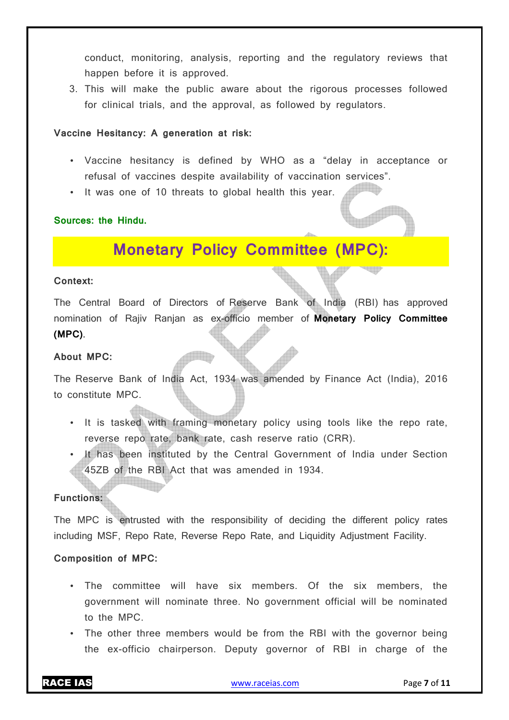conduct, monitoring, analysis, reporting and the regulatory reviews that happen before it is approved.

3. This will make the public aware about the rigorous processes followed for clinical trials, and the approval, as followed by regulators.

#### **Vaccine Hesitancy: A generation at risk:**

- Vaccine hesitancy is defined by WHO as a "delay in acceptance or refusal of vaccines despite availability of vaccination services".
- It was one of 10 threats to global health this year.

## **Sources: the Hindu.**

# **Monetary Policy Committee (MPC):**

#### **Context:**

The Central Board of Directors of Reserve Bank of India (RBI) has approved nomination of Rajiv Ranjan as ex-officio member of **Monetary Policy Committee (MPC)**.

### **About MPC:**

The Reserve Bank of India Act, 1934 was amended by Finance Act (India), 2016 to constitute MPC.

- It is tasked with framing monetary policy using tools like the repo rate, reverse repo rate, bank rate, cash reserve ratio (CRR).
- It has been instituted by the Central Government of India under Section 45ZB of the RBI Act that was amended in 1934.

# **Functions:**

The MPC is entrusted with the responsibility of deciding the different policy rates including MSF, Repo Rate, Reverse Repo Rate, and Liquidity Adjustment Facility.

## **Composition of MPC:**

- The committee will have six members. Of the six members, the government will nominate three. No government official will be nominated to the MPC.
- The other three members would be from the RBI with the governor being the ex-officio chairperson. Deputy governor of RBI in charge of the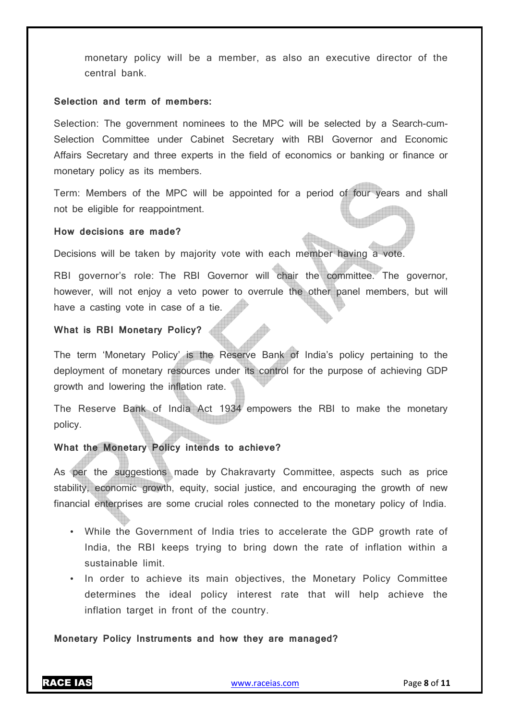monetary policy will be a member, as also an executive director of the central bank.

#### **Selection and term of members:**

Selection: The government nominees to the MPC will be selected by a Search-cum-Selection Committee under Cabinet Secretary with RBI Governor and Economic Affairs Secretary and three experts in the field of economics or banking or finance or monetary policy as its members.

Term: Members of the MPC will be appointed for a period of four years and shall not be eligible for reappointment.

#### **How decisions are made?**

Decisions will be taken by majority vote with each member having a vote.

RBI governor's role: The RBI Governor will chair the committee. The governor, however, will not enjoy a veto power to overrule the other panel members, but will have a casting vote in case of a tie.

#### **What is RBI Monetary Policy?**

The term 'Monetary Policy' is the Reserve Bank of India's policy pertaining to the deployment of monetary resources under its control for the purpose of achieving GDP growth and lowering the inflation rate.

The Reserve Bank of India Act 1934 empowers the RBI to make the monetary policy.

### **What the Monetary Policy intends to achieve?**

As per the suggestions made by Chakravarty Committee, aspects such as price stability, economic growth, equity, social justice, and encouraging the growth of new financial enterprises are some crucial roles connected to the monetary policy of India.

- While the Government of India tries to accelerate the GDP growth rate of India, the RBI keeps trying to bring down the rate of inflation within a sustainable limit.
- In order to achieve its main objectives, the Monetary Policy Committee determines the ideal policy interest rate that will help achieve the inflation target in front of the country.

#### **Monetary Policy Instruments and how they are managed?**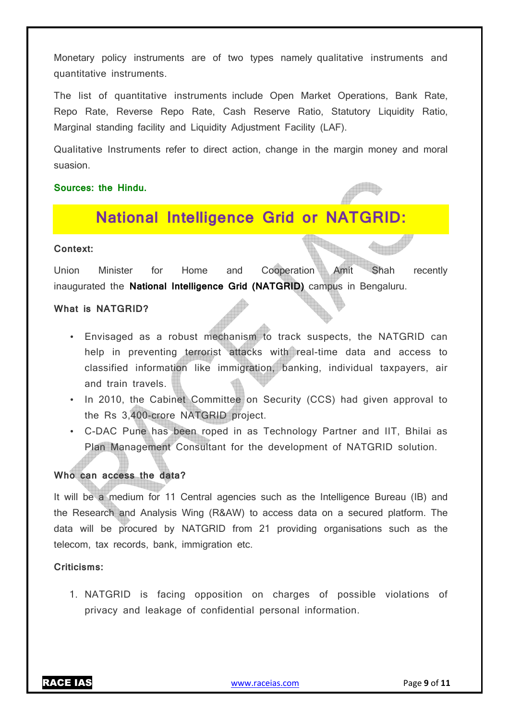Monetary policy instruments are of two types namely qualitative instruments and quantitative instruments.

The list of quantitative instruments include Open Market Operations, Bank Rate, Repo Rate, Reverse Repo Rate, Cash Reserve Ratio, Statutory Liquidity Ratio, Marginal standing facility and Liquidity Adjustment Facility (LAF).

Qualitative Instruments refer to direct action, change in the margin money and moral suasion.

## **Sources: the Hindu.**

# **National Intelligence Grid or NATGRID:**

# **Context:**

Union Minister for Home and Cooperation Amit Shah recently inaugurated the **National Intelligence Grid (NATGRID)** campus in Bengaluru.

#### **What is NATGRID?**

- Envisaged as a robust mechanism to track suspects, the NATGRID can help in preventing terrorist attacks with real-time data and access to classified information like immigration, banking, individual taxpayers, air and train travels.
- In 2010, the Cabinet Committee on Security (CCS) had given approval to the Rs 3,400-crore NATGRID project.
- C-DAC Pune has been roped in as Technology Partner and IIT, Bhilai as Plan Management Consultant for the development of NATGRID solution.

## **Who can access the data?**

It will be a medium for 11 Central agencies such as the Intelligence Bureau (IB) and the Research and Analysis Wing (R&AW) to access data on a secured platform. The data will be procured by NATGRID from 21 providing organisations such as the telecom, tax records, bank, immigration etc.

# **Criticisms:**

1. NATGRID is facing opposition on charges of possible violations of privacy and leakage of confidential personal information.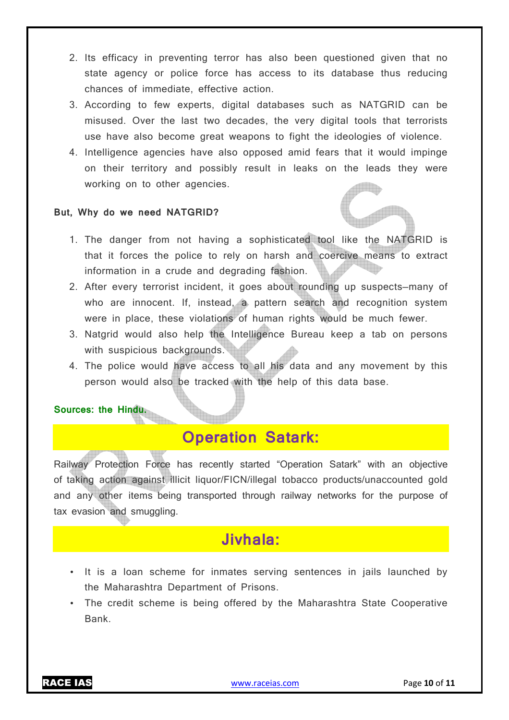- 2. Its efficacy in preventing terror has also been questioned given that no state agency or police force has access to its database thus reducing chances of immediate, effective action.
- 3. According to few experts, digital databases such as NATGRID can be misused. Over the last two decades, the very digital tools that terrorists use have also become great weapons to fight the ideologies of violence.
- 4. Intelligence agencies have also opposed amid fears that it would impinge on their territory and possibly result in leaks on the leads they were working on to other agencies.

## **But, Why do we need NATGRID?**

- 1. The danger from not having a sophisticated tool like the NATGRID is that it forces the police to rely on harsh and coercive means to extract information in a crude and degrading fashion.
- 2. After every terrorist incident, it goes about rounding up suspects—many of who are innocent. If, instead, a pattern search and recognition system were in place, these violations of human rights would be much fewer.
- 3. Natgrid would also help the Intelligence Bureau keep a tab on persons with suspicious backgrounds.
- 4. The police would have access to all his data and any movement by this person would also be tracked with the help of this data base.

#### **Sources: the Hindu.**

# **Operation Satark:**

Railway Protection Force has recently started "Operation Satark" with an objective of taking action against illicit liquor/FICN/illegal tobacco products/unaccounted gold and any other items being transported through railway networks for the purpose of tax evasion and smuggling.

# **Jivhala:**

- It is a loan scheme for inmates serving sentences in jails launched by the Maharashtra Department of Prisons.
- The credit scheme is being offered by the Maharashtra State Cooperative Bank.